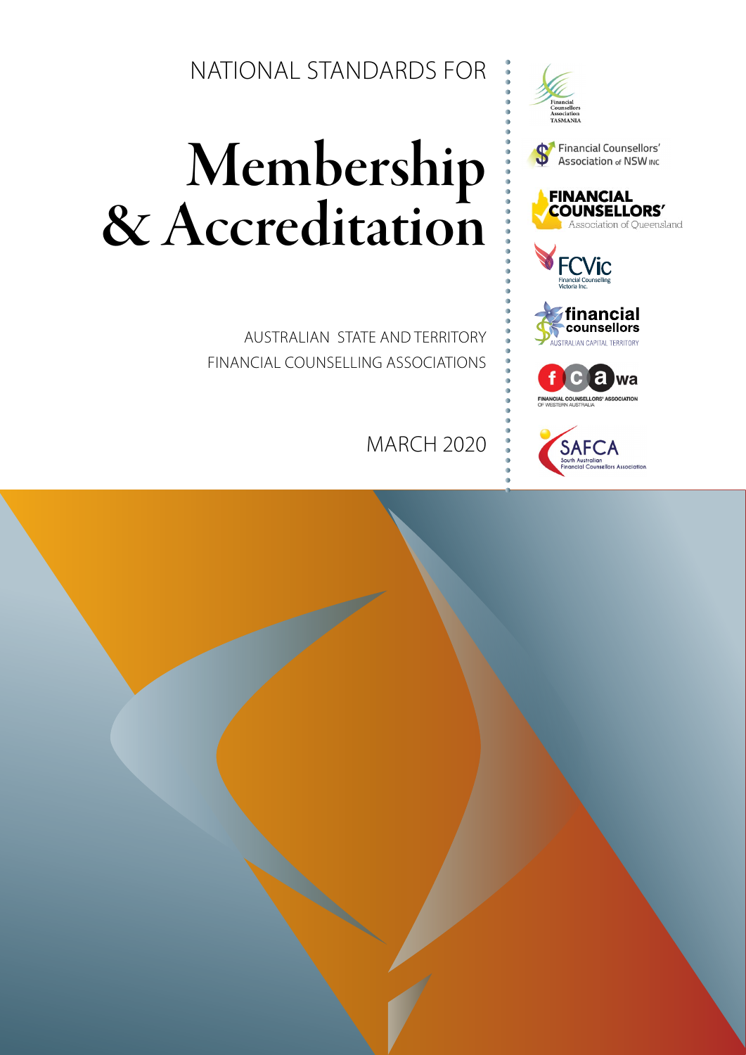NATIONAL STANDARDS FOR

# Membership<br>& Accreditation

AUSTRALIAN STATE AND TERRITORY FINANCIAL COUNSELLING ASSOCIATIONS

MARCH 2020







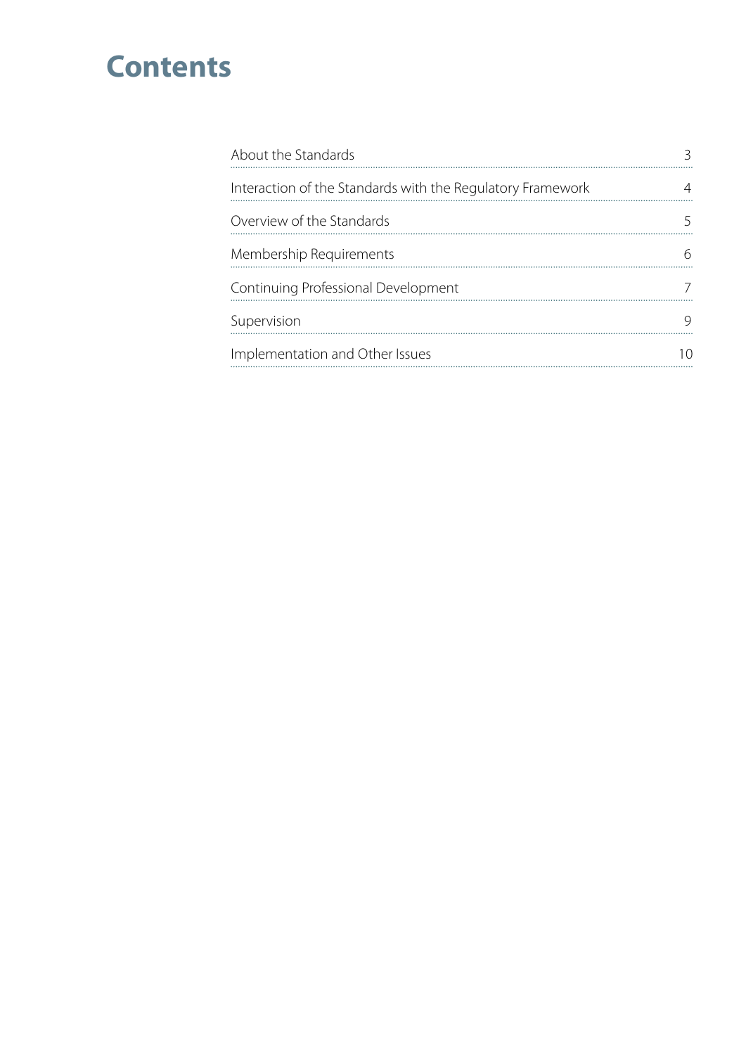## **Contents**

| About the Standards                                        |  |
|------------------------------------------------------------|--|
| Interaction of the Standards with the Regulatory Framework |  |
| Overview of the Standards                                  |  |
| Membership Requirements                                    |  |
| Continuing Professional Development                        |  |
| Supervision                                                |  |
| Implementation and Other Issues                            |  |
|                                                            |  |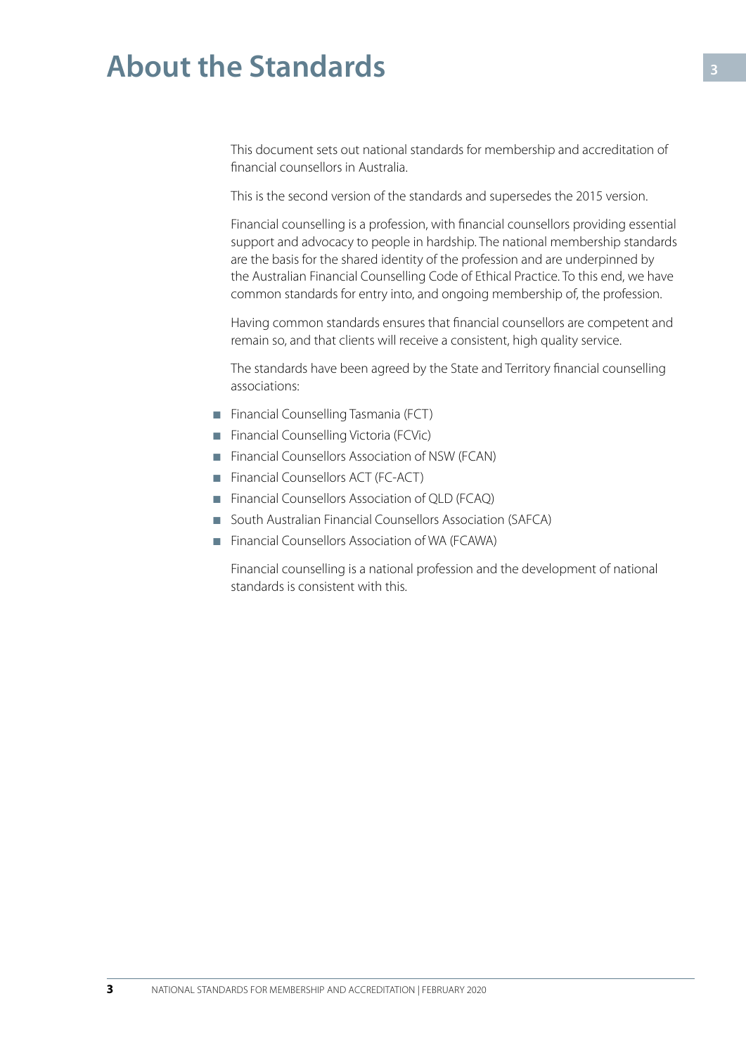## <span id="page-2-0"></span>**About the Standards**

This document sets out national standards for membership and accreditation of financial counsellors in Australia.

This is the second version of the standards and supersedes the 2015 version.

Financial counselling is a profession, with financial counsellors providing essential support and advocacy to people in hardship. The national membership standards are the basis for the shared identity of the profession and are underpinned by the Australian Financial Counselling Code of Ethical Practice. To this end, we have common standards for entry into, and ongoing membership of, the profession.

Having common standards ensures that financial counsellors are competent and remain so, and that clients will receive a consistent, high quality service.

The standards have been agreed by the State and Territory financial counselling associations:

- Financial Counselling Tasmania (FCT)
- Financial Counselling Victoria (FCVic)
- Financial Counsellors Association of NSW (FCAN)
- Financial Counsellors ACT (FC-ACT)
- Financial Counsellors Association of QLD (FCAQ)
- South Australian Financial Counsellors Association (SAFCA)
- Financial Counsellors Association of WA (FCAWA)

Financial counselling is a national profession and the development of national standards is consistent with this.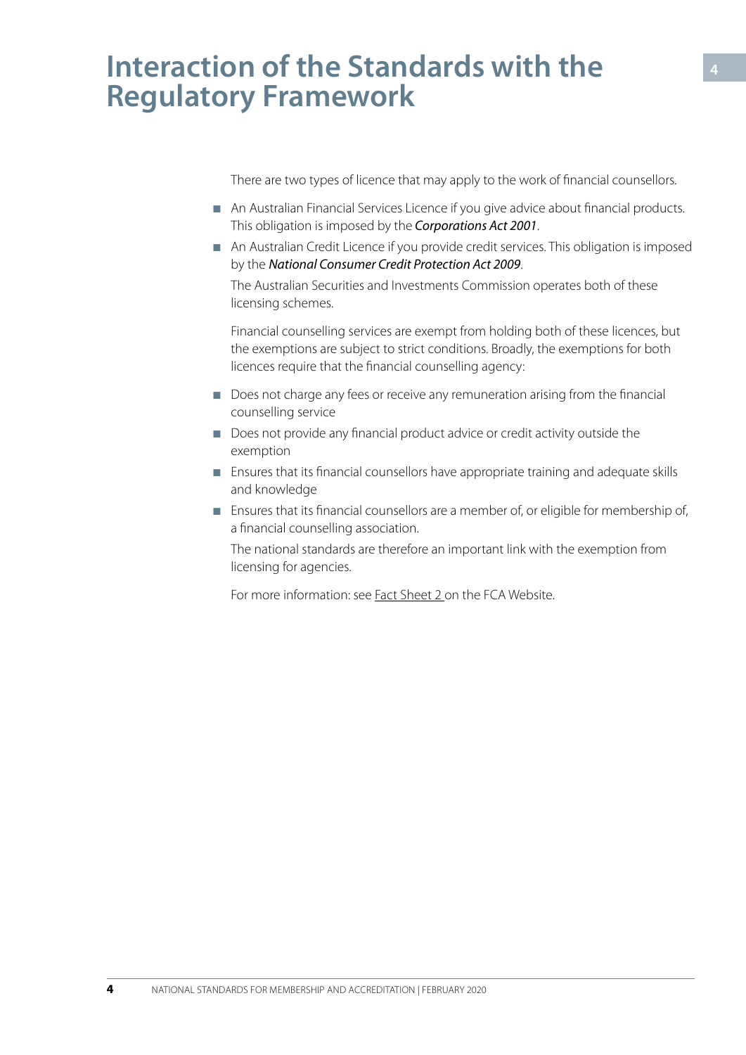## <span id="page-3-0"></span>**Interaction of the Standards with the Regulatory Framework**

There are two types of licence that may apply to the work of financial counsellors.

- An Australian Financial Services Licence if you give advice about financial products. This obligation is imposed by the *Corporations Act 2001*.
- An Australian Credit Licence if you provide credit services. This obligation is imposed by the *National Consumer Credit Protection Act 2009*. The Australian Securities and Investments Commission operates both of these licensing schemes.

Financial counselling services are exempt from holding both of these licences, but the exemptions are subject to strict conditions. Broadly, the exemptions for both licences require that the financial counselling agency:

- Does not charge any fees or receive any remuneration arising from the financial counselling service
- Does not provide any financial product advice or credit activity outside the exemption
- Ensures that its financial counsellors have appropriate training and adequate skills and knowledge
- Ensures that its financial counsellors are a member of, or eligible for membership of, a financial counselling association.

The national standards are therefore an important link with the exemption from licensing for agencies.

For more information: see Fact Sheet 2 on the FCA Website.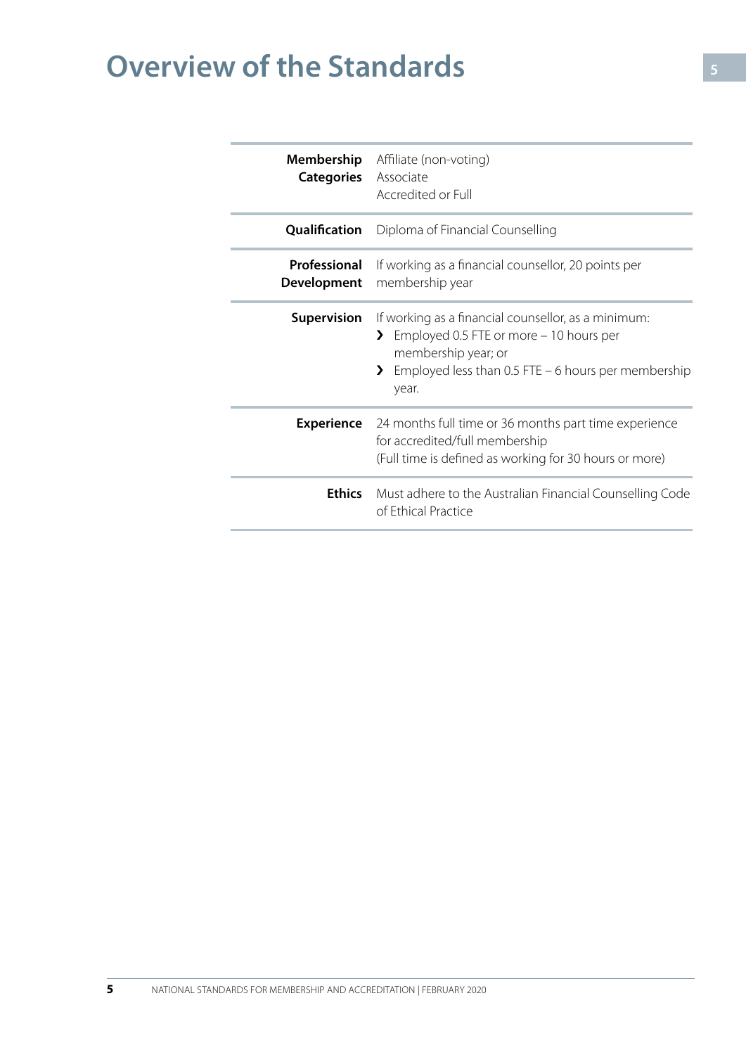# <span id="page-4-0"></span>**Overview of the Standards**

| Membership<br><b>Categories</b>    | Affiliate (non-voting)<br>Associate<br>Accredited or Full                                                                                                                                                   |
|------------------------------------|-------------------------------------------------------------------------------------------------------------------------------------------------------------------------------------------------------------|
| Qualification                      | Diploma of Financial Counselling                                                                                                                                                                            |
| Professional<br><b>Development</b> | If working as a financial counsellor, 20 points per<br>membership year                                                                                                                                      |
| <b>Supervision</b>                 | If working as a financial counsellor, as a minimum:<br>Employed 0.5 FTE or more - 10 hours per<br>$\mathcal{F}$<br>membership year; or<br>Employed less than 0.5 FTE - 6 hours per membership<br>⋗<br>year. |
| <b>Experience</b>                  | 24 months full time or 36 months part time experience<br>for accredited/full membership<br>(Full time is defined as working for 30 hours or more)                                                           |
| <b>Ethics</b>                      | Must adhere to the Australian Financial Counselling Code<br>of Ethical Practice                                                                                                                             |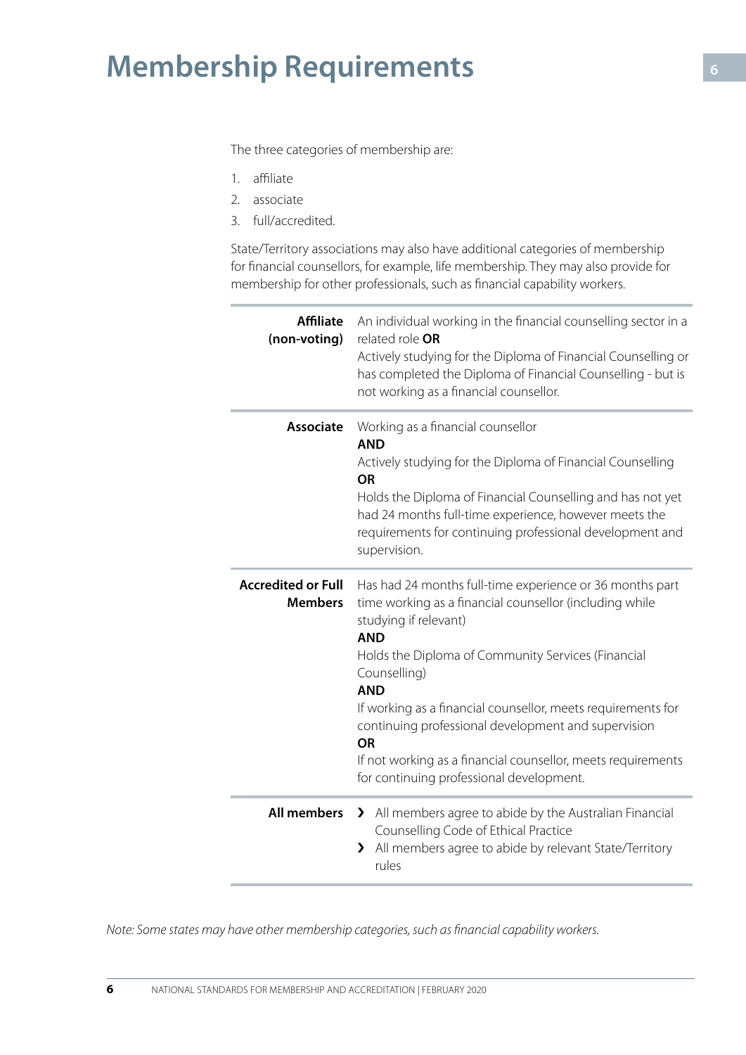## <span id="page-5-0"></span>**Membership Requirements**

The three categories of membership are:

- 1. affiliate
- 2. associate
- 3. full/accredited.

State/Territory associations may also have additional categories of membership for financial counsellors, for example, life membership. They may also provide for membership for other professionals, such as financial capability workers.

| <b>Affiliate</b><br>(non-voting)            | An individual working in the financial counselling sector in a<br>related role OR<br>Actively studying for the Diploma of Financial Counselling or<br>has completed the Diploma of Financial Counselling - but is<br>not working as a financial counsellor.                                                                                                                                                                                                                                    |
|---------------------------------------------|------------------------------------------------------------------------------------------------------------------------------------------------------------------------------------------------------------------------------------------------------------------------------------------------------------------------------------------------------------------------------------------------------------------------------------------------------------------------------------------------|
| <b>Associate</b>                            | Working as a financial counsellor<br><b>AND</b><br>Actively studying for the Diploma of Financial Counselling<br><b>OR</b><br>Holds the Diploma of Financial Counselling and has not yet<br>had 24 months full-time experience, however meets the<br>requirements for continuing professional development and<br>supervision.                                                                                                                                                                  |
| <b>Accredited or Full</b><br><b>Members</b> | Has had 24 months full-time experience or 36 months part<br>time working as a financial counsellor (including while<br>studying if relevant)<br><b>AND</b><br>Holds the Diploma of Community Services (Financial<br>Counselling)<br><b>AND</b><br>If working as a financial counsellor, meets requirements for<br>continuing professional development and supervision<br><b>OR</b><br>If not working as a financial counsellor, meets requirements<br>for continuing professional development. |
|                                             | All members > All members agree to abide by the Australian Financial<br>Counselling Code of Ethical Practice<br>All members agree to abide by relevant State/Territory<br>$\lambda$<br>rules                                                                                                                                                                                                                                                                                                   |

*Note: Some states may have other membership categories, such as financial capability workers.*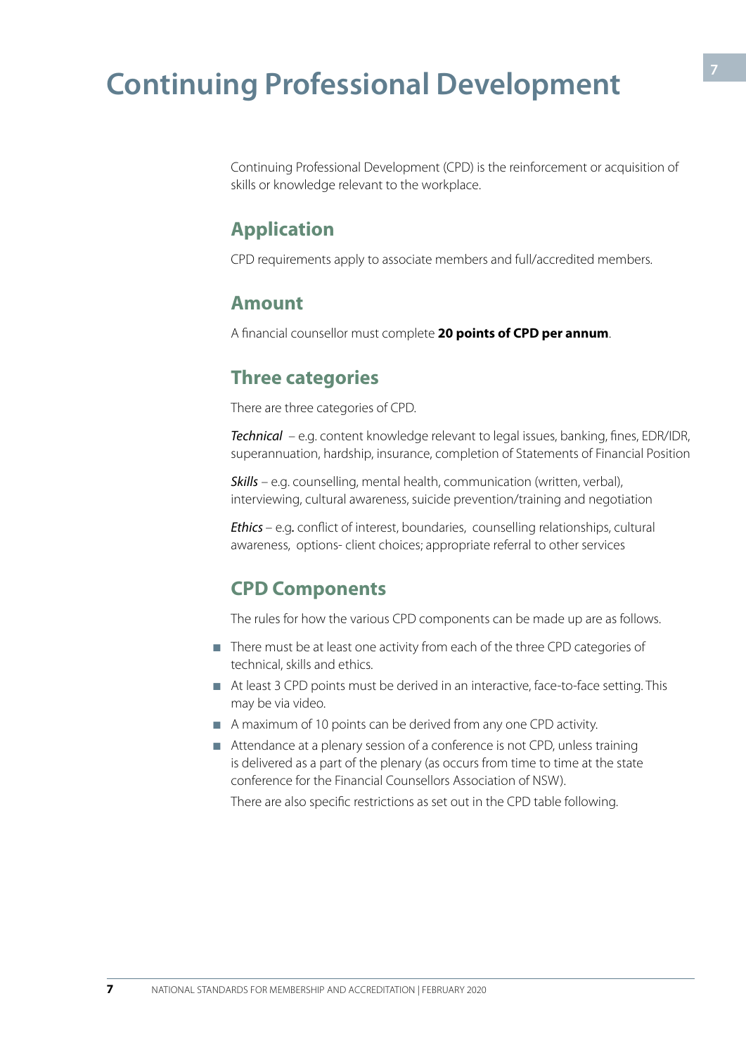## <span id="page-6-0"></span>**Continuing Professional Development**

Continuing Professional Development (CPD) is the reinforcement or acquisition of skills or knowledge relevant to the workplace.

#### **Application**

CPD requirements apply to associate members and full/accredited members.

#### **Amount**

A financial counsellor must complete **20 points of CPD per annum**.

#### **Three categories**

There are three categories of CPD.

*Technical* – e.g. content knowledge relevant to legal issues, banking, fines, EDR/IDR, superannuation, hardship, insurance, completion of Statements of Financial Position

*Skills* – e.g. counselling, mental health, communication (written, verbal), interviewing, cultural awareness, suicide prevention/training and negotiation

*Ethics* – e.g*.* conflict of interest, boundaries, counselling relationships, cultural awareness, options- client choices; appropriate referral to other services

#### **CPD Components**

The rules for how the various CPD components can be made up are as follows.

- There must be at least one activity from each of the three CPD categories of technical, skills and ethics.
- At least 3 CPD points must be derived in an interactive, face-to-face setting. This may be via video.
- A maximum of 10 points can be derived from any one CPD activity.
- Attendance at a plenary session of a conference is not CPD, unless training is delivered as a part of the plenary (as occurs from time to time at the state conference for the Financial Counsellors Association of NSW).

There are also specific restrictions as set out in the CPD table following.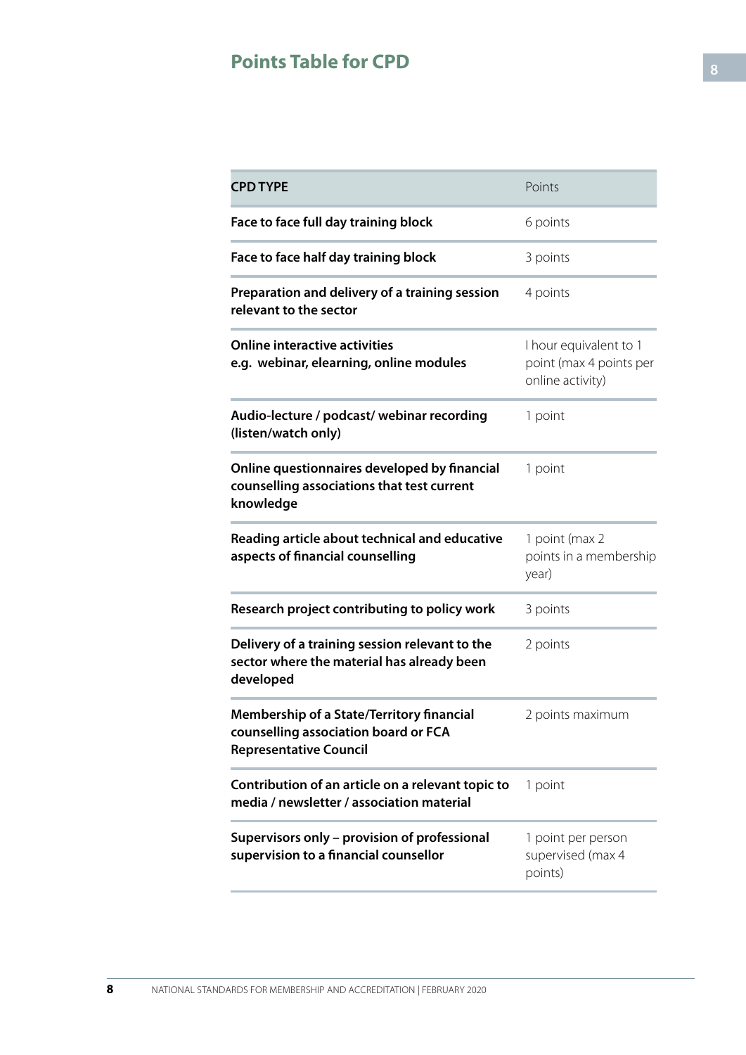### **Points Table for CPD**

| <b>CPD TYPE</b>                                                                                                           | Points                                                                |
|---------------------------------------------------------------------------------------------------------------------------|-----------------------------------------------------------------------|
| Face to face full day training block                                                                                      | 6 points                                                              |
| Face to face half day training block                                                                                      | 3 points                                                              |
| Preparation and delivery of a training session<br>relevant to the sector                                                  | 4 points                                                              |
| <b>Online interactive activities</b><br>e.g. webinar, elearning, online modules                                           | I hour equivalent to 1<br>point (max 4 points per<br>online activity) |
| Audio-lecture / podcast/ webinar recording<br>(listen/watch only)                                                         | 1 point                                                               |
| Online questionnaires developed by financial<br>counselling associations that test current<br>knowledge                   | 1 point                                                               |
| Reading article about technical and educative<br>aspects of financial counselling                                         | 1 point (max 2<br>points in a membership<br>year)                     |
| Research project contributing to policy work                                                                              | 3 points                                                              |
| Delivery of a training session relevant to the<br>sector where the material has already been<br>developed                 | 2 points                                                              |
| <b>Membership of a State/Territory financial</b><br>counselling association board or FCA<br><b>Representative Council</b> | 2 points maximum                                                      |
| Contribution of an article on a relevant topic to<br>media / newsletter / association material                            | 1 point                                                               |
| Supervisors only - provision of professional<br>supervision to a financial counsellor                                     | 1 point per person<br>supervised (max 4<br>points)                    |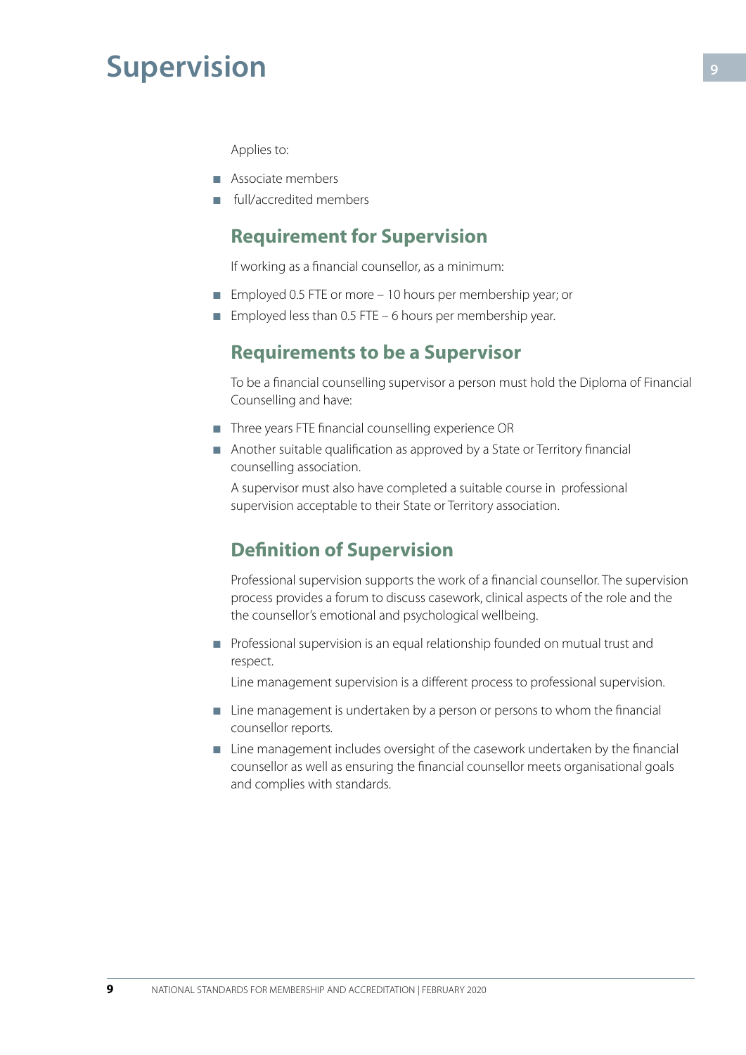## <span id="page-8-0"></span>**Supervision**

Applies to:

- Associate members
- full/accredited members

#### **Requirement for Supervision**

If working as a financial counsellor, as a minimum:

- Employed 0.5 FTE or more 10 hours per membership year; or
- **Employed less than 0.5 FTE 6 hours per membership year.**

#### **Requirements to be a Supervisor**

To be a financial counselling supervisor a person must hold the Diploma of Financial Counselling and have:

- Three years FTE financial counselling experience OR
- Another suitable qualification as approved by a State or Territory financial counselling association.

A supervisor must also have completed a suitable course in professional supervision acceptable to their State or Territory association.

#### **Definition of Supervision**

Professional supervision supports the work of a financial counsellor. The supervision process provides a forum to discuss casework, clinical aspects of the role and the the counsellor's emotional and psychological wellbeing.

■ Professional supervision is an equal relationship founded on mutual trust and respect.

Line management supervision is a different process to professional supervision.

- Line management is undertaken by a person or persons to whom the financial counsellor reports.
- Line management includes oversight of the casework undertaken by the financial counsellor as well as ensuring the financial counsellor meets organisational goals and complies with standards.